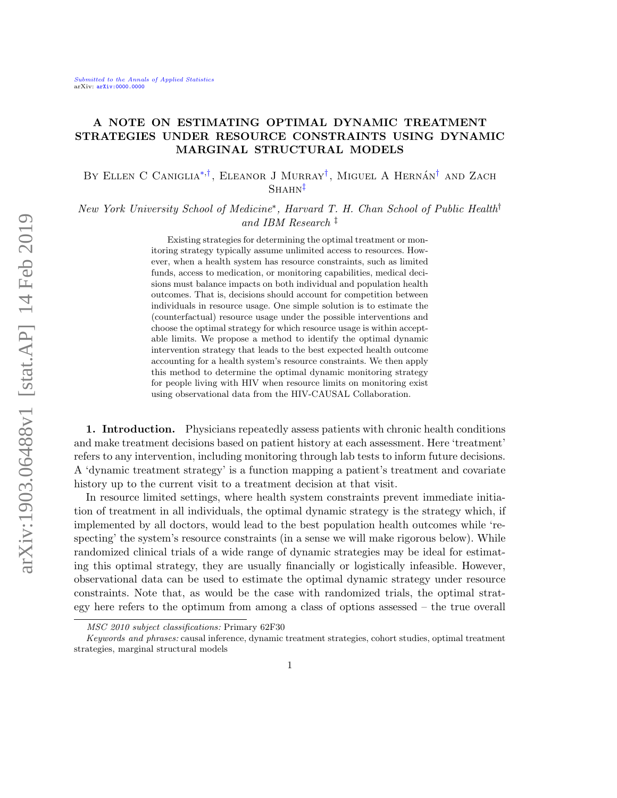# A NOTE ON ESTIMATING OPTIMAL DYNAMIC TREATMENT STRATEGIES UNDER RESOURCE CONSTRAINTS USING DYNAMIC MARGINAL STRUCTURAL MODELS

BY ELLEN C CANIGLIA<sup>\*,[†](#page-0-1)</sup>, ELEANOR J MURRAY<sup>†</sup>, MIGUEL A HERNÁN<sup>†</sup> AND ZACH  $SHAHN^{\ddagger}$ 

New York University School of Medicine<sup>\*</sup>, Harvard T. H. Chan School of Public Health<sup>†</sup> and IBM Research ‡

> <span id="page-0-2"></span><span id="page-0-1"></span><span id="page-0-0"></span>Existing strategies for determining the optimal treatment or monitoring strategy typically assume unlimited access to resources. However, when a health system has resource constraints, such as limited funds, access to medication, or monitoring capabilities, medical decisions must balance impacts on both individual and population health outcomes. That is, decisions should account for competition between individuals in resource usage. One simple solution is to estimate the (counterfactual) resource usage under the possible interventions and choose the optimal strategy for which resource usage is within acceptable limits. We propose a method to identify the optimal dynamic intervention strategy that leads to the best expected health outcome accounting for a health system's resource constraints. We then apply this method to determine the optimal dynamic monitoring strategy for people living with HIV when resource limits on monitoring exist using observational data from the HIV-CAUSAL Collaboration.

1. Introduction. Physicians repeatedly assess patients with chronic health conditions and make treatment decisions based on patient history at each assessment. Here 'treatment' refers to any intervention, including monitoring through lab tests to inform future decisions. A 'dynamic treatment strategy' is a function mapping a patient's treatment and covariate history up to the current visit to a treatment decision at that visit.

In resource limited settings, where health system constraints prevent immediate initiation of treatment in all individuals, the optimal dynamic strategy is the strategy which, if implemented by all doctors, would lead to the best population health outcomes while 'respecting' the system's resource constraints (in a sense we will make rigorous below). While randomized clinical trials of a wide range of dynamic strategies may be ideal for estimating this optimal strategy, they are usually financially or logistically infeasible. However, observational data can be used to estimate the optimal dynamic strategy under resource constraints. Note that, as would be the case with randomized trials, the optimal strategy here refers to the optimum from among a class of options assessed – the true overall

MSC 2010 subject classifications: Primary 62F30

Keywords and phrases: causal inference, dynamic treatment strategies, cohort studies, optimal treatment strategies, marginal structural models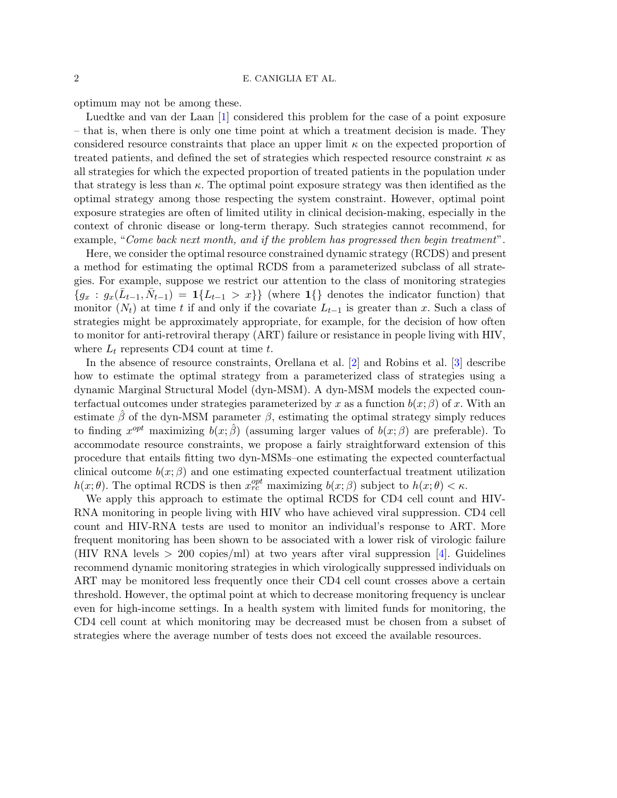optimum may not be among these.

Luedtke and van der Laan [\[1\]](#page-10-0) considered this problem for the case of a point exposure – that is, when there is only one time point at which a treatment decision is made. They considered resource constraints that place an upper limit  $\kappa$  on the expected proportion of treated patients, and defined the set of strategies which respected resource constraint  $\kappa$  as all strategies for which the expected proportion of treated patients in the population under that strategy is less than  $\kappa$ . The optimal point exposure strategy was then identified as the optimal strategy among those respecting the system constraint. However, optimal point exposure strategies are often of limited utility in clinical decision-making, especially in the context of chronic disease or long-term therapy. Such strategies cannot recommend, for example, "Come back next month, and if the problem has progressed then begin treatment".

Here, we consider the optimal resource constrained dynamic strategy (RCDS) and present a method for estimating the optimal RCDS from a parameterized subclass of all strategies. For example, suppose we restrict our attention to the class of monitoring strategies  ${g_x : g_x(\bar{L}_{t-1}, \bar{N}_{t-1}) = 1}{L_{t-1} > x}$  (where 1{} denotes the indicator function) that monitor  $(N_t)$  at time t if and only if the covariate  $L_{t-1}$  is greater than x. Such a class of strategies might be approximately appropriate, for example, for the decision of how often to monitor for anti-retroviral therapy (ART) failure or resistance in people living with HIV, where  $L_t$  represents CD4 count at time t.

In the absence of resource constraints, Orellana et al. [\[2\]](#page-10-1) and Robins et al. [\[3\]](#page-10-2) describe how to estimate the optimal strategy from a parameterized class of strategies using a dynamic Marginal Structural Model (dyn-MSM). A dyn-MSM models the expected counterfactual outcomes under strategies parameterized by x as a function  $b(x; \beta)$  of x. With an estimate  $\beta$  of the dyn-MSM parameter  $\beta$ , estimating the optimal strategy simply reduces to finding  $x^{opt}$  maximizing  $b(x; \hat{\beta})$  (assuming larger values of  $b(x; \beta)$  are preferable). To accommodate resource constraints, we propose a fairly straightforward extension of this procedure that entails fitting two dyn-MSMs–one estimating the expected counterfactual clinical outcome  $b(x; \beta)$  and one estimating expected counterfactual treatment utilization  $h(x; \theta)$ . The optimal RCDS is then  $x_{rc}^{opt}$  maximizing  $b(x; \beta)$  subject to  $h(x; \theta) < \kappa$ .

We apply this approach to estimate the optimal RCDS for CD4 cell count and HIV-RNA monitoring in people living with HIV who have achieved viral suppression. CD4 cell count and HIV-RNA tests are used to monitor an individual's response to ART. More frequent monitoring has been shown to be associated with a lower risk of virologic failure (HIV RNA levels  $> 200$  copies/ml) at two years after viral suppression [\[4\]](#page-10-3). Guidelines recommend dynamic monitoring strategies in which virologically suppressed individuals on ART may be monitored less frequently once their CD4 cell count crosses above a certain threshold. However, the optimal point at which to decrease monitoring frequency is unclear even for high-income settings. In a health system with limited funds for monitoring, the CD4 cell count at which monitoring may be decreased must be chosen from a subset of strategies where the average number of tests does not exceed the available resources.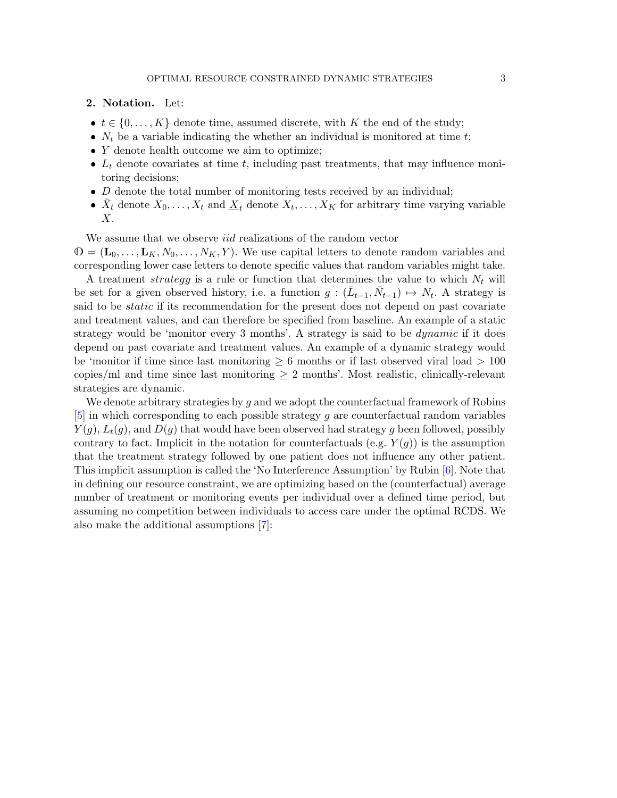#### 2. Notation. Let:

- $t \in \{0, \ldots, K\}$  denote time, assumed discrete, with K the end of the study;
- $N_t$  be a variable indicating the whether an individual is monitored at time t;
- Y denote health outcome we aim to optimize;
- $L_t$  denote covariates at time t, including past treatments, that may influence monitoring decisions;
- $D$  denote the total number of monitoring tests received by an individual;
- $\bar{X}_t$  denote  $X_0, \ldots, X_t$  and  $\underline{X}_t$  denote  $X_t, \ldots, X_K$  for arbitrary time varying variable  $X$ .

We assume that we observe *iid* realizations of the random vector

 $\mathbb{O} = (\mathbf{L}_0, \dots, \mathbf{L}_K, N_0, \dots, N_K, Y)$ . We use capital letters to denote random variables and corresponding lower case letters to denote specific values that random variables might take.

A treatment strategy is a rule or function that determines the value to which  $N_t$  will be set for a given observed history, i.e. a function  $g: (\bar{L}_{t-1}, \bar{N}_{t-1}) \mapsto N_t$ . A strategy is said to be *static* if its recommendation for the present does not depend on past covariate and treatment values, and can therefore be specified from baseline. An example of a static strategy would be 'monitor every 3 months'. A strategy is said to be *dynamic* if it does depend on past covariate and treatment values. An example of a dynamic strategy would be 'monitor if time since last monitoring  $\geq 6$  months or if last observed viral load  $> 100$ copies/ml and time since last monitoring  $\geq 2$  months'. Most realistic, clinically-relevant strategies are dynamic.

We denote arbitrary strategies by  $g$  and we adopt the counterfactual framework of Robins  $[5]$  in which corresponding to each possible strategy g are counterfactual random variables  $Y(g)$ ,  $L_t(g)$ , and  $D(g)$  that would have been observed had strategy g been followed, possibly contrary to fact. Implicit in the notation for counterfactuals (e.g.  $Y(g)$ ) is the assumption that the treatment strategy followed by one patient does not influence any other patient. This implicit assumption is called the 'No Interference Assumption' by Rubin [\[6\]](#page-10-5). Note that in defining our resource constraint, we are optimizing based on the (counterfactual) average number of treatment or monitoring events per individual over a defined time period, but assuming no competition between individuals to access care under the optimal RCDS. We also make the additional assumptions [\[7\]](#page-10-6):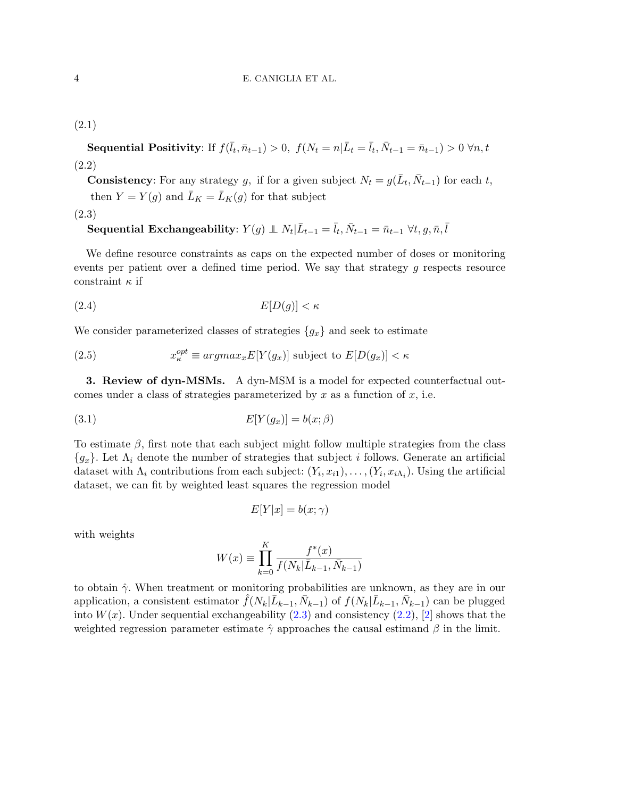<span id="page-3-1"></span>Sequential Positivity: If  $f(\bar{l}_t, \bar{n}_{t-1}) > 0$ ,  $f(N_t = n | \bar{L}_t = \bar{l}_t, \bar{N}_{t-1} = \bar{n}_{t-1}) > 0 \,\forall n, t$ (2.2)

**Consistency**: For any strategy g, if for a given subject  $N_t = g(\bar{L}_t, \bar{N}_{t-1})$  for each t, then  $Y = Y(g)$  and  $\bar{L}_K = \bar{L}_K(g)$  for that subject

<span id="page-3-0"></span>(2.3)

**Sequential Exchangeability**: 
$$
Y(g) \perp N_t | \bar{L}_{t-1} = \bar{l}_t, \bar{N}_{t-1} = \bar{n}_{t-1} \ \forall t, g, \bar{n}, \bar{l}
$$

We define resource constraints as caps on the expected number of doses or monitoring events per patient over a defined time period. We say that strategy g respects resource constraint  $\kappa$  if

$$
(2.4) \t\t\t E[D(g)] < \kappa
$$

We consider parameterized classes of strategies  ${g_x}$  and seek to estimate

(2.5) 
$$
x_{\kappa}^{opt} \equiv argmax_{x} E[Y(g_{x})] \text{ subject to } E[D(g_{x})] < \kappa
$$

3. Review of dyn-MSMs. A dyn-MSM is a model for expected counterfactual outcomes under a class of strategies parameterized by  $x$  as a function of  $x$ , i.e.

$$
E[Y(g_x)] = b(x; \beta)
$$

To estimate  $\beta$ , first note that each subject might follow multiple strategies from the class  ${g_x}$ . Let  $\Lambda_i$  denote the number of strategies that subject i follows. Generate an artificial dataset with  $\Lambda_i$  contributions from each subject:  $(Y_i, x_{i1}), \ldots, (Y_i, x_{i\Lambda_i})$ . Using the artificial dataset, we can fit by weighted least squares the regression model

$$
E[Y|x] = b(x; \gamma)
$$

with weights

$$
W(x) \equiv \prod_{k=0}^{K} \frac{f^*(x)}{f(N_k | \bar{L}_{k-1}, \bar{N}_{k-1})}
$$

to obtain  $\hat{\gamma}$ . When treatment or monitoring probabilities are unknown, as they are in our application, a consistent estimator  $\hat{f}(N_k|\bar{L}_{k-1}, \bar{N}_{k-1})$  of  $f(N_k|\bar{L}_{k-1}, \bar{N}_{k-1})$  can be plugged into  $W(x)$ . Under sequential exchangeability  $(2.3)$  and consistency  $(2.2)$ ,  $[2]$  shows that the weighted regression parameter estimate  $\hat{\gamma}$  approaches the causal estimand  $\beta$  in the limit.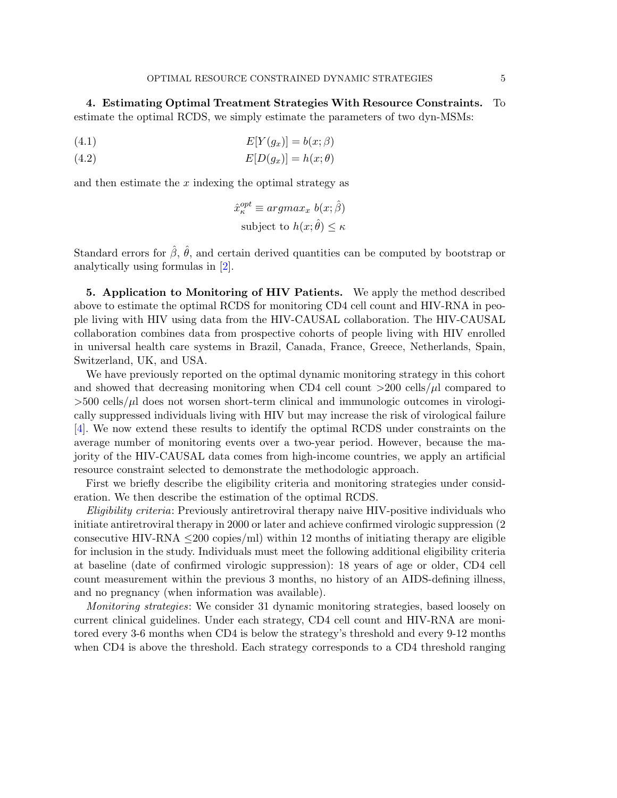4. Estimating Optimal Treatment Strategies With Resource Constraints. To estimate the optimal RCDS, we simply estimate the parameters of two dyn-MSMs:

$$
(4.1) \t\t\t E[Y(g_x)] = b(x; \beta)
$$

(4.2)  $E[D(g_x)] = h(x; \theta)$ 

and then estimate the  $x$  indexing the optimal strategy as

$$
\hat{x}_{\kappa}^{opt} \equiv argmax_{x} b(x; \hat{\beta})
$$
  
subject to  $h(x; \hat{\theta}) \leq \kappa$ 

Standard errors for  $\hat{\beta}$ ,  $\hat{\theta}$ , and certain derived quantities can be computed by bootstrap or analytically using formulas in [\[2\]](#page-10-1).

5. Application to Monitoring of HIV Patients. We apply the method described above to estimate the optimal RCDS for monitoring CD4 cell count and HIV-RNA in people living with HIV using data from the HIV-CAUSAL collaboration. The HIV-CAUSAL collaboration combines data from prospective cohorts of people living with HIV enrolled in universal health care systems in Brazil, Canada, France, Greece, Netherlands, Spain, Switzerland, UK, and USA.

We have previously reported on the optimal dynamic monitoring strategy in this cohort and showed that decreasing monitoring when CD4 cell count  $>$ 200 cells/ $\mu$ l compared to  $>500$  cells/ $\mu$ l does not worsen short-term clinical and immunologic outcomes in virologically suppressed individuals living with HIV but may increase the risk of virological failure [\[4\]](#page-10-3). We now extend these results to identify the optimal RCDS under constraints on the average number of monitoring events over a two-year period. However, because the majority of the HIV-CAUSAL data comes from high-income countries, we apply an artificial resource constraint selected to demonstrate the methodologic approach.

First we briefly describe the eligibility criteria and monitoring strategies under consideration. We then describe the estimation of the optimal RCDS.

Eligibility criteria: Previously antiretroviral therapy naive HIV-positive individuals who initiate antiretroviral therapy in 2000 or later and achieve confirmed virologic suppression (2 consecutive HIV-RNA  $\leq$ 200 copies/ml) within 12 months of initiating therapy are eligible for inclusion in the study. Individuals must meet the following additional eligibility criteria at baseline (date of confirmed virologic suppression): 18 years of age or older, CD4 cell count measurement within the previous 3 months, no history of an AIDS-defining illness, and no pregnancy (when information was available).

Monitoring strategies: We consider 31 dynamic monitoring strategies, based loosely on current clinical guidelines. Under each strategy, CD4 cell count and HIV-RNA are monitored every 3-6 months when CD4 is below the strategy's threshold and every 9-12 months when CD4 is above the threshold. Each strategy corresponds to a CD4 threshold ranging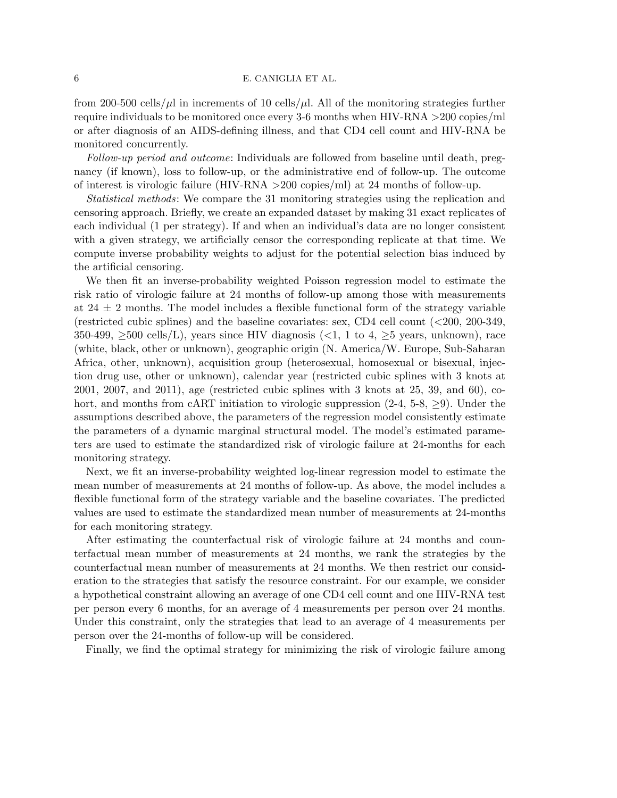# 6 E. CANIGLIA ET AL.

from 200-500 cells/ $\mu$ l in increments of 10 cells/ $\mu$ l. All of the monitoring strategies further require individuals to be monitored once every 3-6 months when HIV-RNA >200 copies/ml or after diagnosis of an AIDS-defining illness, and that CD4 cell count and HIV-RNA be monitored concurrently.

Follow-up period and outcome: Individuals are followed from baseline until death, pregnancy (if known), loss to follow-up, or the administrative end of follow-up. The outcome of interest is virologic failure (HIV-RNA >200 copies/ml) at 24 months of follow-up.

Statistical methods: We compare the 31 monitoring strategies using the replication and censoring approach. Briefly, we create an expanded dataset by making 31 exact replicates of each individual (1 per strategy). If and when an individual's data are no longer consistent with a given strategy, we artificially censor the corresponding replicate at that time. We compute inverse probability weights to adjust for the potential selection bias induced by the artificial censoring.

We then fit an inverse-probability weighted Poisson regression model to estimate the risk ratio of virologic failure at 24 months of follow-up among those with measurements at  $24 \pm 2$  months. The model includes a flexible functional form of the strategy variable (restricted cubic splines) and the baseline covariates: sex, CD4 cell count (<200, 200-349,  $350-499$ ,  $\geq 500$  cells/L), years since HIV diagnosis (<1, 1 to 4,  $\geq 5$  years, unknown), race (white, black, other or unknown), geographic origin (N. America/W. Europe, Sub-Saharan Africa, other, unknown), acquisition group (heterosexual, homosexual or bisexual, injection drug use, other or unknown), calendar year (restricted cubic splines with 3 knots at 2001, 2007, and 2011), age (restricted cubic splines with 3 knots at 25, 39, and 60), cohort, and months from cART initiation to virologic suppression  $(2-4, 5-8, \geq 9)$ . Under the assumptions described above, the parameters of the regression model consistently estimate the parameters of a dynamic marginal structural model. The model's estimated parameters are used to estimate the standardized risk of virologic failure at 24-months for each monitoring strategy.

Next, we fit an inverse-probability weighted log-linear regression model to estimate the mean number of measurements at 24 months of follow-up. As above, the model includes a flexible functional form of the strategy variable and the baseline covariates. The predicted values are used to estimate the standardized mean number of measurements at 24-months for each monitoring strategy.

After estimating the counterfactual risk of virologic failure at 24 months and counterfactual mean number of measurements at 24 months, we rank the strategies by the counterfactual mean number of measurements at 24 months. We then restrict our consideration to the strategies that satisfy the resource constraint. For our example, we consider a hypothetical constraint allowing an average of one CD4 cell count and one HIV-RNA test per person every 6 months, for an average of 4 measurements per person over 24 months. Under this constraint, only the strategies that lead to an average of 4 measurements per person over the 24-months of follow-up will be considered.

Finally, we find the optimal strategy for minimizing the risk of virologic failure among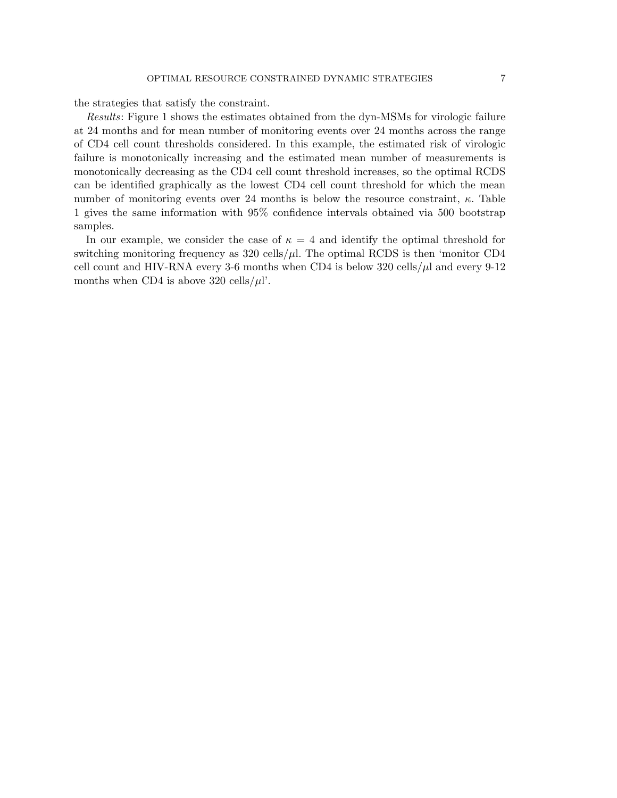the strategies that satisfy the constraint.

Results: Figure 1 shows the estimates obtained from the dyn-MSMs for virologic failure at 24 months and for mean number of monitoring events over 24 months across the range of CD4 cell count thresholds considered. In this example, the estimated risk of virologic failure is monotonically increasing and the estimated mean number of measurements is monotonically decreasing as the CD4 cell count threshold increases, so the optimal RCDS can be identified graphically as the lowest CD4 cell count threshold for which the mean number of monitoring events over 24 months is below the resource constraint,  $\kappa$ . Table 1 gives the same information with 95% confidence intervals obtained via 500 bootstrap samples.

In our example, we consider the case of  $\kappa = 4$  and identify the optimal threshold for switching monitoring frequency as  $320 \text{ cells}/\mu$ . The optimal RCDS is then 'monitor CD4 cell count and HIV-RNA every 3-6 months when CD4 is below 320 cells/ $\mu$ l and every 9-12 months when CD4 is above 320 cells/ $\mu$ l'.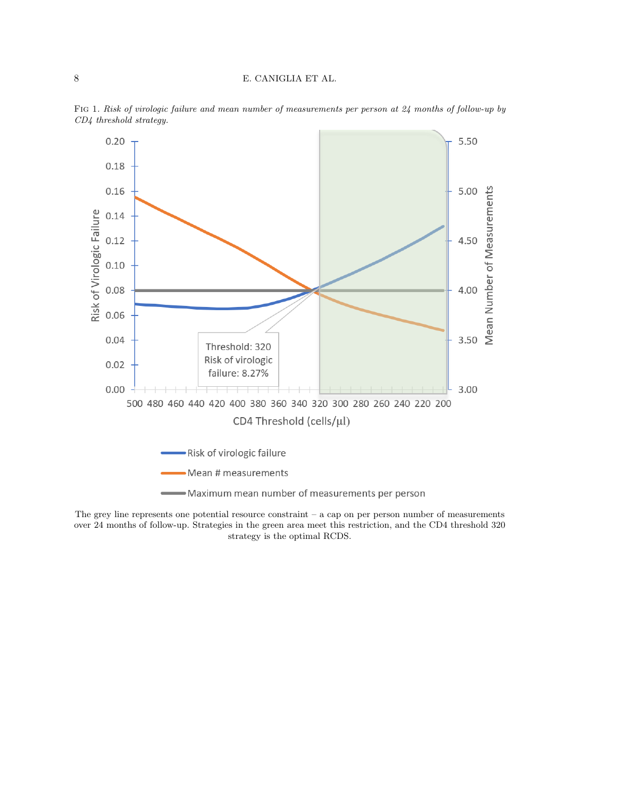# 8 E. CANIGLIA ET AL.



Fig 1. Risk of virologic failure and mean number of measurements per person at 24 months of follow-up by CD4 threshold strategy.

The grey line represents one potential resource constraint – a cap on per person number of measurements over 24 months of follow-up. Strategies in the green area meet this restriction, and the CD4 threshold 320 strategy is the optimal RCDS.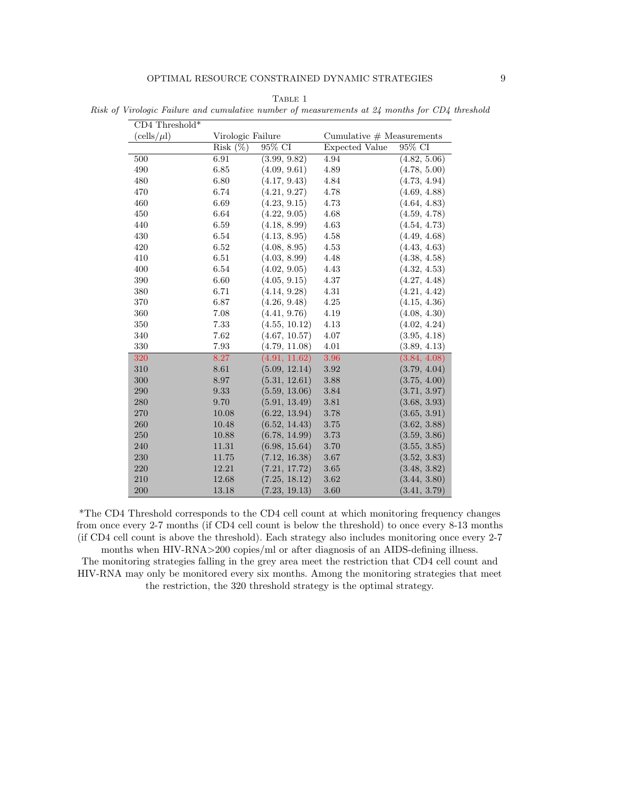| $CD4$ Threshold* |                   |               |                             |              |
|------------------|-------------------|---------------|-----------------------------|--------------|
| $(cells/\mu l)$  | Virologic Failure |               | Cumulative $#$ Measurements |              |
|                  | Risk(%)           | 95% CI        | <b>Expected Value</b>       | 95% CI       |
| 500              | 6.91              | (3.99, 9.82)  | 4.94                        | (4.82, 5.06) |
| 490              | 6.85              | (4.09, 9.61)  | 4.89                        | (4.78, 5.00) |
| 480              | 6.80              | (4.17, 9.43)  | 4.84                        | (4.73, 4.94) |
| 470              | 6.74              | (4.21, 9.27)  | 4.78                        | (4.69, 4.88) |
| 460              | 6.69              | (4.23, 9.15)  | 4.73                        | (4.64, 4.83) |
| 450              | 6.64              | (4.22, 9.05)  | 4.68                        | (4.59, 4.78) |
| 440              | 6.59              | (4.18, 8.99)  | 4.63                        | (4.54, 4.73) |
| 430              | 6.54              | (4.13, 8.95)  | 4.58                        | (4.49, 4.68) |
| 420              | 6.52              | (4.08, 8.95)  | 4.53                        | (4.43, 4.63) |
| 410              | $6.51\,$          | (4.03, 8.99)  | 4.48                        | (4.38, 4.58) |
| 400              | 6.54              | (4.02, 9.05)  | 4.43                        | (4.32, 4.53) |
| 390              | 6.60              | (4.05, 9.15)  | 4.37                        | (4.27, 4.48) |
| 380              | 6.71              | (4.14, 9.28)  | 4.31                        | (4.21, 4.42) |
| 370              | 6.87              | (4.26, 9.48)  | 4.25                        | (4.15, 4.36) |
| 360              | 7.08              | (4.41, 9.76)  | 4.19                        | (4.08, 4.30) |
| 350              | 7.33              | (4.55, 10.12) | 4.13                        | (4.02, 4.24) |
| 340              | 7.62              | (4.67, 10.57) | 4.07                        | (3.95, 4.18) |
| 330              | 7.93              | (4.79, 11.08) | 4.01                        | (3.89, 4.13) |
| 320              | 8.27              | (4.91, 11.62) | 3.96                        | (3.84, 4.08) |
| 310              | 8.61              | (5.09, 12.14) | 3.92                        | (3.79, 4.04) |
| 300              | 8.97              | (5.31, 12.61) | 3.88                        | (3.75, 4.00) |
| 290              | $\,9.33\,$        | (5.59, 13.06) | 3.84                        | (3.71, 3.97) |
| 280              | 9.70              | (5.91, 13.49) | 3.81                        | (3.68, 3.93) |
| 270              | $10.08\,$         | (6.22, 13.94) | 3.78                        | (3.65, 3.91) |
| 260              | 10.48             | (6.52, 14.43) | 3.75                        | (3.62, 3.88) |
| 250              | 10.88             | (6.78, 14.99) | 3.73                        | (3.59, 3.86) |
| 240              | 11.31             | (6.98, 15.64) | 3.70                        | (3.55, 3.85) |
| 230              | 11.75             | (7.12, 16.38) | 3.67                        | (3.52, 3.83) |
| 220              | 12.21             | (7.21, 17.72) | $3.65\,$                    | (3.48, 3.82) |
| 210              | 12.68             | (7.25, 18.12) | 3.62                        | (3.44, 3.80) |
| 200              | 13.18             | (7.23, 19.13) | 3.60                        | (3.41, 3.79) |

TABLE 1

Risk of Virologic Failure and cumulative number of measurements at 24 months for CD4 threshold

\*The CD4 Threshold corresponds to the CD4 cell count at which monitoring frequency changes from once every 2-7 months (if CD4 cell count is below the threshold) to once every 8-13 months (if CD4 cell count is above the threshold). Each strategy also includes monitoring once every 2-7

months when HIV-RNA>200 copies/ml or after diagnosis of an AIDS-defining illness. The monitoring strategies falling in the grey area meet the restriction that CD4 cell count and HIV-RNA may only be monitored every six months. Among the monitoring strategies that meet the restriction, the 320 threshold strategy is the optimal strategy.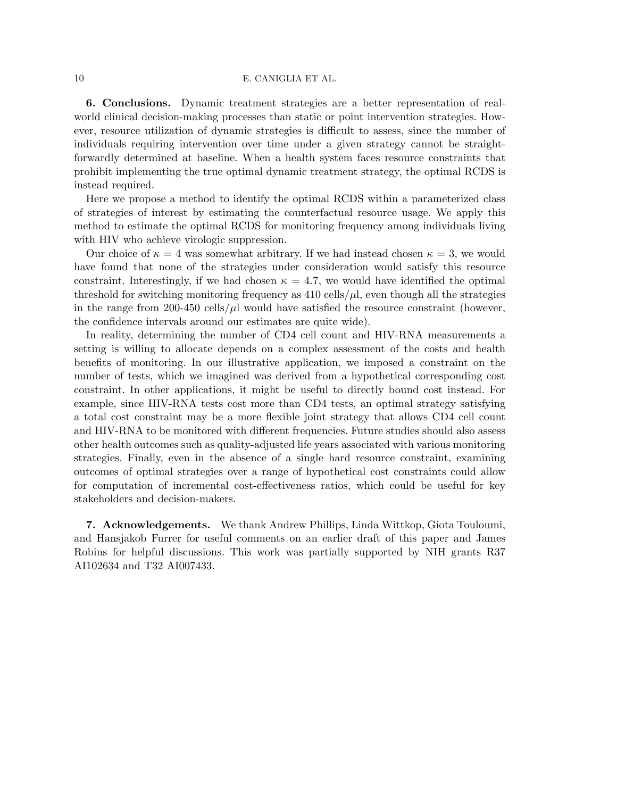### 10 E. CANIGLIA ET AL.

6. Conclusions. Dynamic treatment strategies are a better representation of realworld clinical decision-making processes than static or point intervention strategies. However, resource utilization of dynamic strategies is difficult to assess, since the number of individuals requiring intervention over time under a given strategy cannot be straightforwardly determined at baseline. When a health system faces resource constraints that prohibit implementing the true optimal dynamic treatment strategy, the optimal RCDS is instead required.

Here we propose a method to identify the optimal RCDS within a parameterized class of strategies of interest by estimating the counterfactual resource usage. We apply this method to estimate the optimal RCDS for monitoring frequency among individuals living with HIV who achieve virologic suppression.

Our choice of  $\kappa = 4$  was somewhat arbitrary. If we had instead chosen  $\kappa = 3$ , we would have found that none of the strategies under consideration would satisfy this resource constraint. Interestingly, if we had chosen  $\kappa = 4.7$ , we would have identified the optimal threshold for switching monitoring frequency as  $410 \text{ cells}/\mu$ , even though all the strategies in the range from 200-450 cells/ $\mu$ l would have satisfied the resource constraint (however, the confidence intervals around our estimates are quite wide).

In reality, determining the number of CD4 cell count and HIV-RNA measurements a setting is willing to allocate depends on a complex assessment of the costs and health benefits of monitoring. In our illustrative application, we imposed a constraint on the number of tests, which we imagined was derived from a hypothetical corresponding cost constraint. In other applications, it might be useful to directly bound cost instead. For example, since HIV-RNA tests cost more than CD4 tests, an optimal strategy satisfying a total cost constraint may be a more flexible joint strategy that allows CD4 cell count and HIV-RNA to be monitored with different frequencies. Future studies should also assess other health outcomes such as quality-adjusted life years associated with various monitoring strategies. Finally, even in the absence of a single hard resource constraint, examining outcomes of optimal strategies over a range of hypothetical cost constraints could allow for computation of incremental cost-effectiveness ratios, which could be useful for key stakeholders and decision-makers.

7. Acknowledgements. We thank Andrew Phillips, Linda Wittkop, Giota Touloumi, and Hansjakob Furrer for useful comments on an earlier draft of this paper and James Robins for helpful discussions. This work was partially supported by NIH grants R37 AI102634 and T32 AI007433.